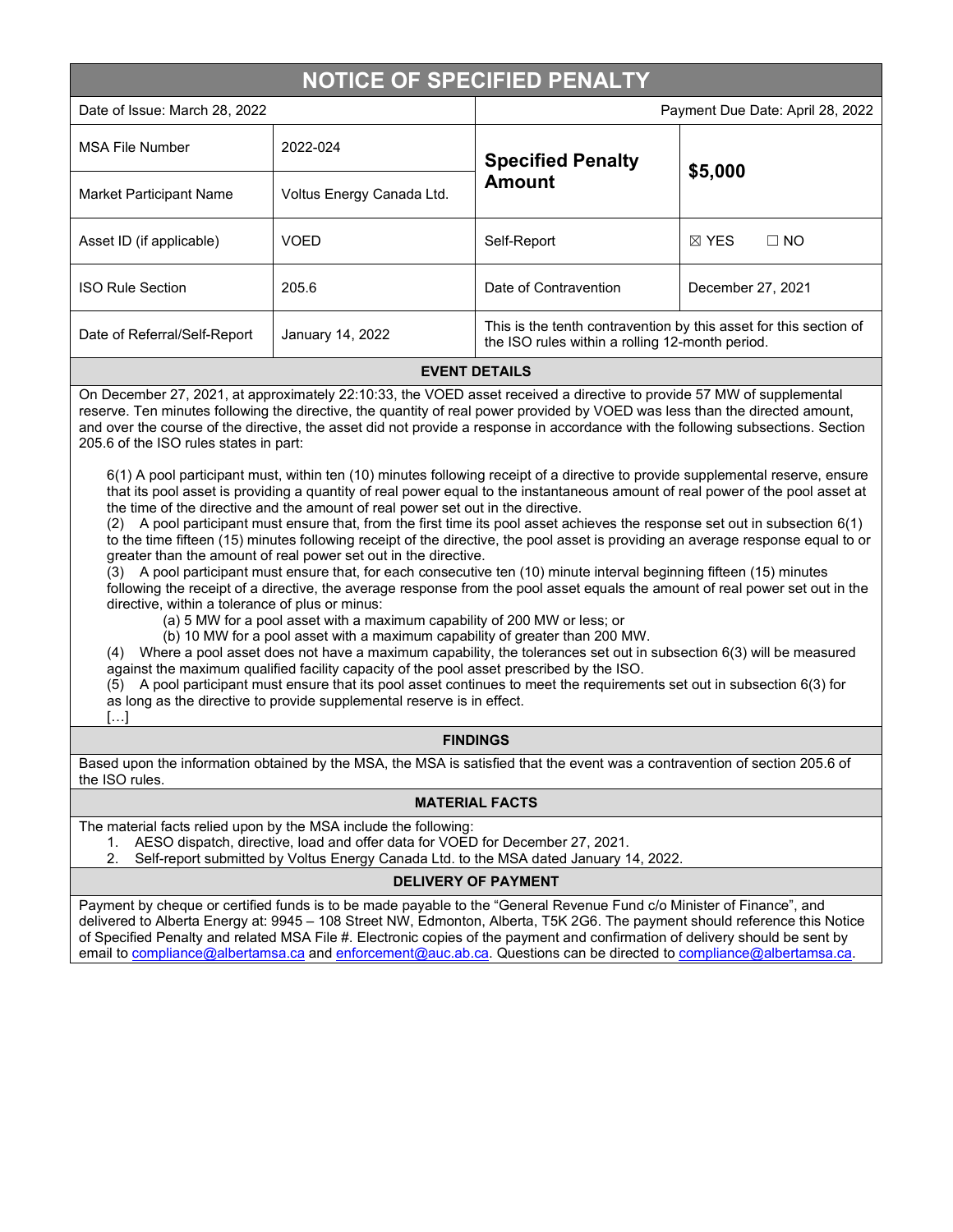# **NOTICE OF SPECIFIED PENALTY**

[…]

| Date of Issue: March 28, 2022 |                           | Payment Due Date: April 28, 2022                                                                                     |                              |
|-------------------------------|---------------------------|----------------------------------------------------------------------------------------------------------------------|------------------------------|
| <b>MSA File Number</b>        | 2022-024                  | <b>Specified Penalty</b><br><b>Amount</b>                                                                            | \$5,000                      |
| Market Participant Name       | Voltus Energy Canada Ltd. |                                                                                                                      |                              |
| Asset ID (if applicable)      | <b>VOED</b>               | Self-Report                                                                                                          | $\Box$ NO<br>$\boxtimes$ YES |
| <b>ISO Rule Section</b>       | 205.6                     | Date of Contravention                                                                                                | December 27, 2021            |
| Date of Referral/Self-Report  | January 14, 2022          | This is the tenth contravention by this asset for this section of<br>the ISO rules within a rolling 12-month period. |                              |

#### **EVENT DETAILS**

On December 27, 2021, at approximately 22:10:33, the VOED asset received a directive to provide 57 MW of supplemental reserve. Ten minutes following the directive, the quantity of real power provided by VOED was less than the directed amount, and over the course of the directive, the asset did not provide a response in accordance with the following subsections. Section 205.6 of the ISO rules states in part:

6(1) A pool participant must, within ten (10) minutes following receipt of a directive to provide supplemental reserve, ensure that its pool asset is providing a quantity of real power equal to the instantaneous amount of real power of the pool asset at the time of the directive and the amount of real power set out in the directive.

(2) A pool participant must ensure that, from the first time its pool asset achieves the response set out in subsection 6(1) to the time fifteen (15) minutes following receipt of the directive, the pool asset is providing an average response equal to or greater than the amount of real power set out in the directive.

(3) A pool participant must ensure that, for each consecutive ten (10) minute interval beginning fifteen (15) minutes following the receipt of a directive, the average response from the pool asset equals the amount of real power set out in the directive, within a tolerance of plus or minus:

(a) 5 MW for a pool asset with a maximum capability of 200 MW or less; or

(b) 10 MW for a pool asset with a maximum capability of greater than 200 MW.

(4) Where a pool asset does not have a maximum capability, the tolerances set out in subsection 6(3) will be measured against the maximum qualified facility capacity of the pool asset prescribed by the ISO.

(5) A pool participant must ensure that its pool asset continues to meet the requirements set out in subsection 6(3) for as long as the directive to provide supplemental reserve is in effect.

### **FINDINGS**

Based upon the information obtained by the MSA, the MSA is satisfied that the event was a contravention of section 205.6 of the ISO rules.

### **MATERIAL FACTS**

The material facts relied upon by the MSA include the following:

- 1. AESO dispatch, directive, load and offer data for VOED for December 27, 2021.<br>2. Self-report submitted by Voltus Energy Canada Ltd. to the MSA dated January 1
- 2. Self-report submitted by Voltus Energy Canada Ltd. to the MSA dated January 14, 2022.

## **DELIVERY OF PAYMENT**

Payment by cheque or certified funds is to be made payable to the "General Revenue Fund c/o Minister of Finance", and delivered to Alberta Energy at: 9945 – 108 Street NW, Edmonton, Alberta, T5K 2G6. The payment should reference this Notice of Specified Penalty and related MSA File #. Electronic copies of the payment and confirmation of delivery should be sent by email to [compliance@albertamsa.ca](mailto:compliance@albertamsa.ca) and [enforcement@auc.ab.ca.](mailto:enforcement@auc.ab.ca) Questions can be directed to [compliance@albertamsa.ca.](mailto:compliance@albertamsa.ca)